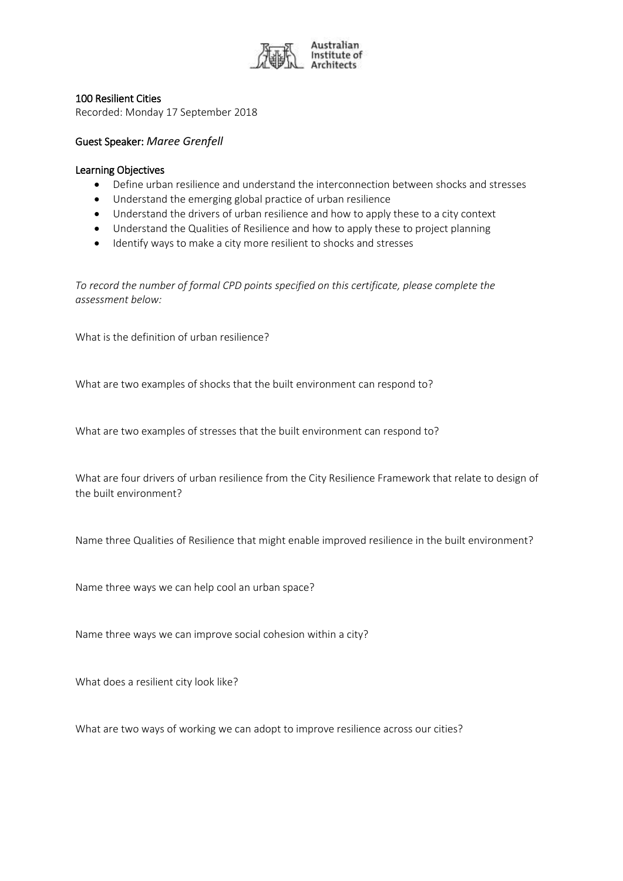

## 100 Resilient Cities

Recorded: Monday 17 September 2018

## Guest Speaker: *Maree Grenfell*

## Learning Objectives

- Define urban resilience and understand the interconnection between shocks and stresses
- Understand the emerging global practice of urban resilience
- Understand the drivers of urban resilience and how to apply these to a city context
- Understand the Qualities of Resilience and how to apply these to project planning
- Identify ways to make a city more resilient to shocks and stresses

*To record the number of formal CPD points specified on this certificate, please complete the assessment below:*

What is the definition of urban resilience?

What are two examples of shocks that the built environment can respond to?

What are two examples of stresses that the built environment can respond to?

What are four drivers of urban resilience from the City Resilience Framework that relate to design of the built environment?

Name three Qualities of Resilience that might enable improved resilience in the built environment?

Name three ways we can help cool an urban space?

Name three ways we can improve social cohesion within a city?

What does a resilient city look like?

What are two ways of working we can adopt to improve resilience across our cities?